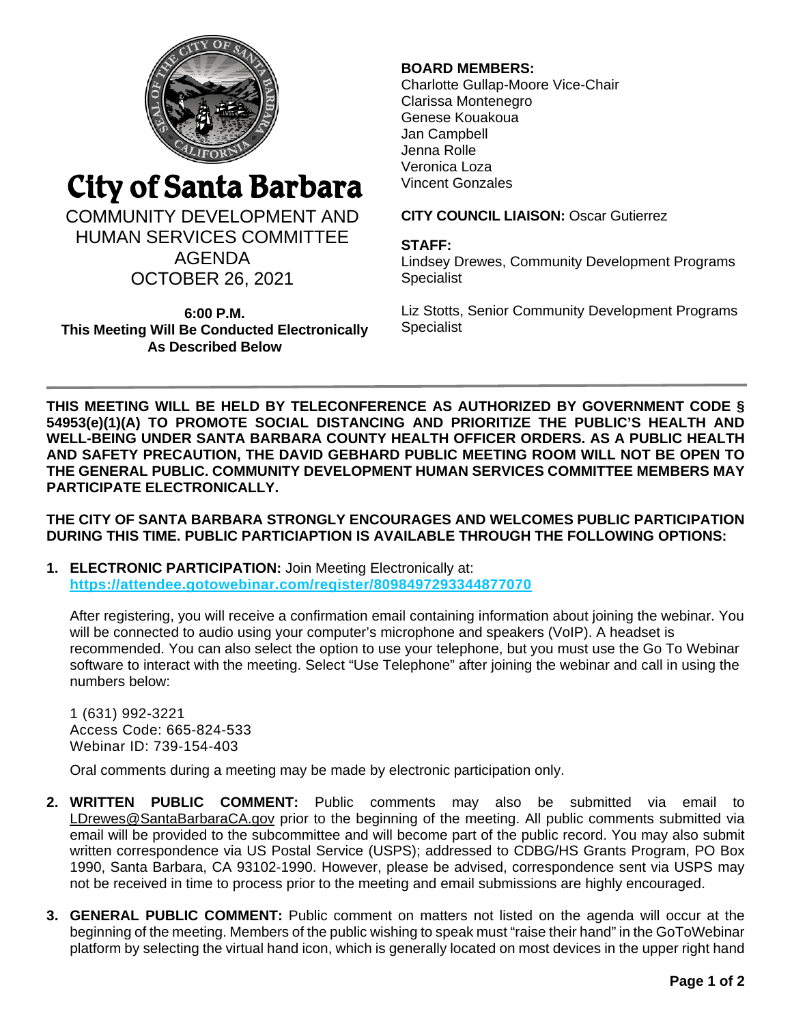

# City of Santa Barbara

COMMUNITY DEVELOPMENT AND HUMAN SERVICES COMMITTEE AGENDA OCTOBER 26, 2021

**6:00 P.M. This Meeting Will Be Conducted Electronically As Described Below**

# **BOARD MEMBERS:**

Charlotte Gullap-Moore Vice-Chair Clarissa Montenegro Genese Kouakoua Jan Campbell Jenna Rolle Veronica Loza Vincent Gonzales

#### **CITY COUNCIL LIAISON:** Oscar Gutierrez

#### **STAFF:**

Lindsey Drewes, Community Development Programs Specialist

Liz Stotts, Senior Community Development Programs Specialist

**THIS MEETING WILL BE HELD BY TELECONFERENCE AS AUTHORIZED BY GOVERNMENT CODE § 54953(e)(1)(A) TO PROMOTE SOCIAL DISTANCING AND PRIORITIZE THE PUBLIC'S HEALTH AND WELL-BEING UNDER SANTA BARBARA COUNTY HEALTH OFFICER ORDERS. AS A PUBLIC HEALTH AND SAFETY PRECAUTION, THE DAVID GEBHARD PUBLIC MEETING ROOM WILL NOT BE OPEN TO THE GENERAL PUBLIC. COMMUNITY DEVELOPMENT HUMAN SERVICES COMMITTEE MEMBERS MAY PARTICIPATE ELECTRONICALLY.** 

**THE CITY OF SANTA BARBARA STRONGLY ENCOURAGES AND WELCOMES PUBLIC PARTICIPATION DURING THIS TIME. PUBLIC PARTICIAPTION IS AVAILABLE THROUGH THE FOLLOWING OPTIONS:** 

**1. ELECTRONIC PARTICIPATION:** Join Meeting Electronically at: **https://attendee.gotowebinar.com/register/8098497293344877070**

After registering, you will receive a confirmation email containing information about joining the webinar. You will be connected to audio using your computer's microphone and speakers (VoIP). A headset is recommended. You can also select the option to use your telephone, but you must use the Go To Webinar software to interact with the meeting. Select "Use Telephone" after joining the webinar and call in using the numbers below:

1 (631) 992-3221 Access Code: 665-824-533 Webinar ID: 739-154-403

Oral comments during a meeting may be made by electronic participation only.

- **2. WRITTEN PUBLIC COMMENT:** Public comments may also be submitted via email to [LDrewes@SantaBarbaraCA.gov](mailto:LDrewes@SantaBarbaraCA.gov) prior to the beginning of the meeting. All public comments submitted via email will be provided to the subcommittee and will become part of the public record. You may also submit written correspondence via US Postal Service (USPS); addressed to CDBG/HS Grants Program, PO Box 1990, Santa Barbara, CA 93102-1990. However, please be advised, correspondence sent via USPS may not be received in time to process prior to the meeting and email submissions are highly encouraged.
- **3. GENERAL PUBLIC COMMENT:** Public comment on matters not listed on the agenda will occur at the beginning of the meeting. Members of the public wishing to speak must "raise their hand" in the GoToWebinar platform by selecting the virtual hand icon, which is generally located on most devices in the upper right hand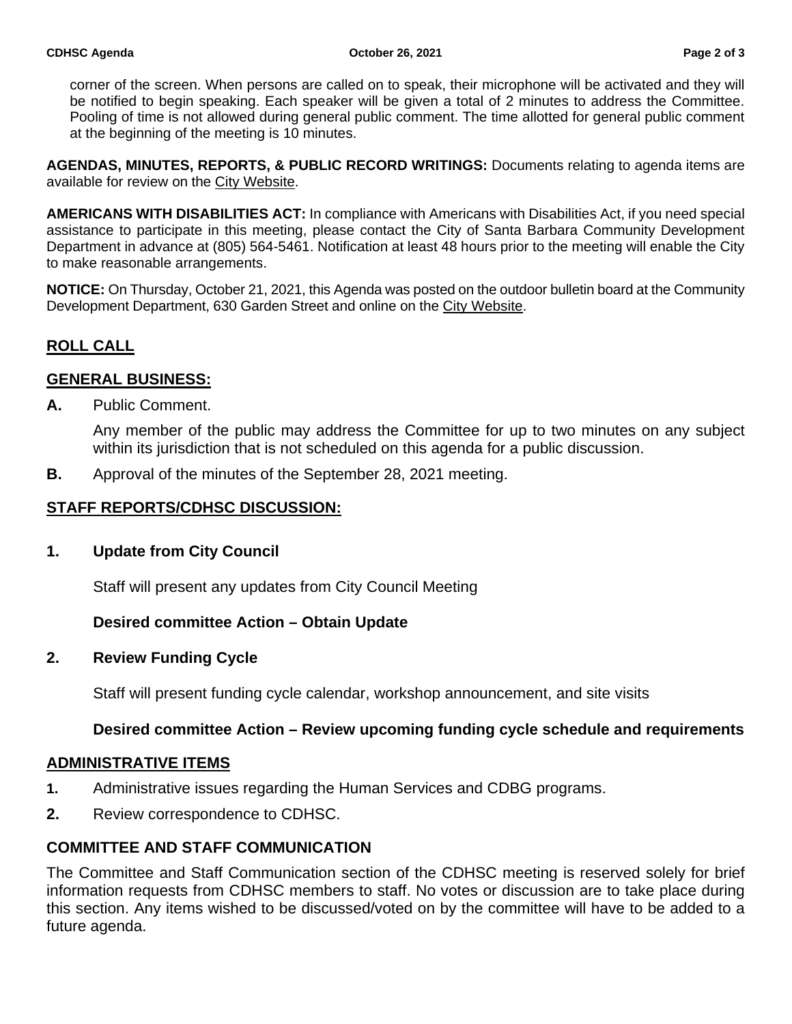corner of the screen. When persons are called on to speak, their microphone will be activated and they will be notified to begin speaking. Each speaker will be given a total of 2 minutes to address the Committee. Pooling of time is not allowed during general public comment. The time allotted for general public comment at the beginning of the meeting is 10 minutes.

**AGENDAS, MINUTES, REPORTS, & PUBLIC RECORD WRITINGS:** Documents relating to agenda items are available for review on the [City Website.](http://www.santabarbaraca.gov/gov/brdcomm/ac/cdhsc/agendas.asp)

**AMERICANS WITH DISABILITIES ACT:** In compliance with Americans with Disabilities Act, if you need special assistance to participate in this meeting, please contact the City of Santa Barbara Community Development Department in advance at (805) 564-5461. Notification at least 48 hours prior to the meeting will enable the City to make reasonable arrangements.

**NOTICE:** On Thursday, October 21, 2021, this Agenda was posted on the outdoor bulletin board at the Community Development Department, 630 Garden Street and online on the [City Website.](http://www.santabarbaraca.gov/gov/brdcomm/ac/cdhsc/agendas.asp)

# **ROLL CALL**

## **GENERAL BUSINESS:**

**A.** Public Comment.

Any member of the public may address the Committee for up to two minutes on any subject within its jurisdiction that is not scheduled on this agenda for a public discussion.

**B.** Approval of the minutes of the September 28, 2021 meeting.

# **STAFF REPORTS/CDHSC DISCUSSION:**

**1. Update from City Council** 

Staff will present any updates from City Council Meeting

## **Desired committee Action – Obtain Update**

## **2. Review Funding Cycle**

Staff will present funding cycle calendar, workshop announcement, and site visits

## **Desired committee Action – Review upcoming funding cycle schedule and requirements**

#### **ADMINISTRATIVE ITEMS**

- **1.** Administrative issues regarding the Human Services and CDBG programs.
- **2.** Review correspondence to CDHSC.

## **COMMITTEE AND STAFF COMMUNICATION**

The Committee and Staff Communication section of the CDHSC meeting is reserved solely for brief information requests from CDHSC members to staff. No votes or discussion are to take place during this section. Any items wished to be discussed/voted on by the committee will have to be added to a future agenda.